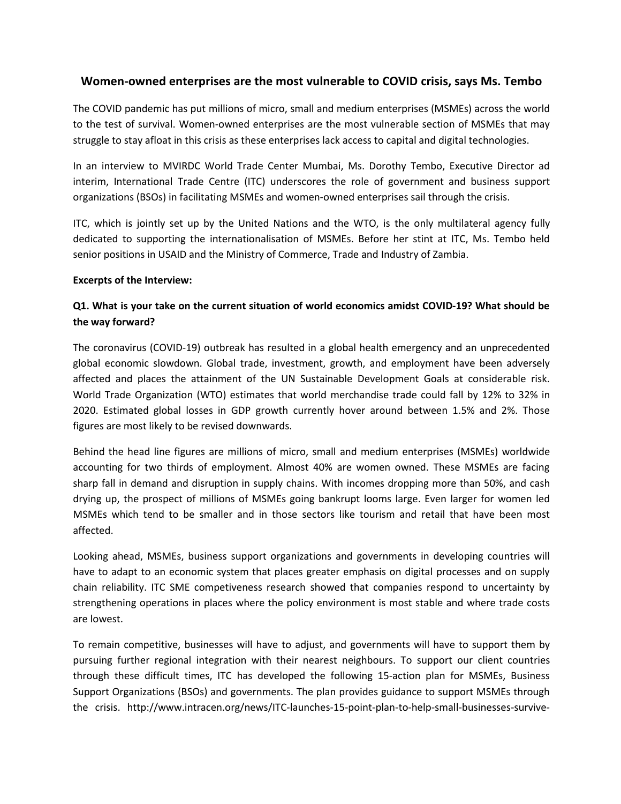# **Women-owned enterprises are the most vulnerable to COVID crisis, says Ms. Tembo**

The COVID pandemic has put millions of micro, small and medium enterprises (MSMEs) across the world to the test of survival. Women-owned enterprises are the most vulnerable section of MSMEs that may struggle to stay afloat in this crisis as these enterprises lack access to capital and digital technologies.

In an interview to MVIRDC World Trade Center Mumbai, Ms. Dorothy Tembo, Executive Director ad interim, International Trade Centre (ITC) underscores the role of government and business support organizations (BSOs) in facilitating MSMEs and women-owned enterprises sail through the crisis.

ITC, which is jointly set up by the United Nations and the WTO, is the only multilateral agency fully dedicated to supporting the internationalisation of MSMEs. Before her stint at ITC, Ms. Tembo held senior positions in USAID and the Ministry of Commerce, Trade and Industry of Zambia.

#### **Excerpts of the Interview:**

# **Q1. What is your take on the current situation of world economics amidst COVID-19? What should be the way forward?**

The coronavirus (COVID-19) outbreak has resulted in a global health emergency and an unprecedented global economic slowdown. Global trade, investment, growth, and employment have been adversely affected and places the attainment of the UN Sustainable Development Goals at considerable risk. World Trade Organization (WTO) estimates that world merchandise trade could fall by 12% to 32% in 2020. Estimated global losses in GDP growth currently hover around between 1.5% and 2%. Those

figures are most likely to be revised downwards.<br>Behind the head line figures are millions of micro, small and medium enterprises (MSMEs) worldwide accounting for two thirds of employment. Almost 40% are women owned. These MSMEs are facing sharp fall in demand and disruption in supply chains. With incomes dropping more than 50%, and cash drying up, the prospect of millions of MSMEs going bankrupt looms large. Even larger for women led MSMEs which tend to be smaller and in those sectors like tourism and retail that have been most affected.

Looking ahead, MSMEs, business support organizations and governments in developing countries will have to adapt to an economic system that places greater emphasis on digital processes and on supply chain reliability. ITC SME competiveness research showed that companies respond to uncertainty by strengthening operations in places where the policy environment is most stable and where trade costs are lowest.

To remain competitive, businesses will have to adjust, and governments will have to support them by pursuing further regional integration with their nearest neighbours. To support our client countries through these difficult times, ITC has developed the following 15-action plan for MSMEs, Business Support Organizations (BSOs) and governments. The plan provides guidance to support MSMEs through the crisis. http://www.intracen.org/news/ITC-launches-15-point-plan-to-help-small-businesses-survive-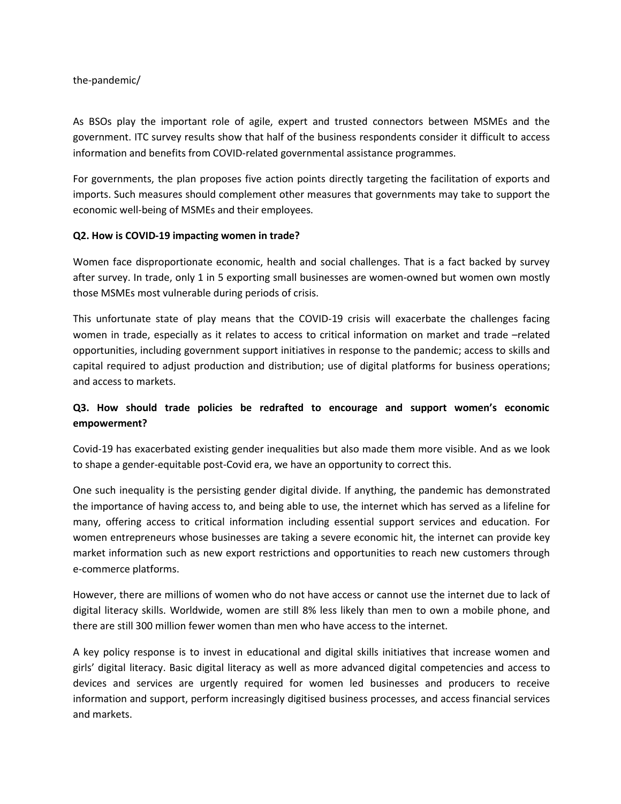#### the-pandemic/

As BSOs play the important role of agile, expert and trusted connectors between MSMEs and the government. ITC survey results show that half of the business respondents consider it difficult to access information and benefits from COVID-related governmental assistance programmes.

For governments, the plan proposes five action points directly targeting the facilitation of exports and imports. Such measures should complement other measures that governments may take to support the economic well-being of MSMEs and their employees.

#### **Q2. How is COVID-19 impacting women in trade?**

Women face disproportionate economic, health and social challenges. That is a fact backed by survey after survey. In trade, only 1 in 5 exporting small businesses are women-owned but women own mostly those MSMEs most vulnerable during periods of crisis.

This unfortunate state of play means that the COVID-19 crisis will exacerbate the challenges facing women in trade, especially as it relates to access to critical information on market and trade –related opportunities, including government support initiatives in response to the pandemic; access to skills and capital required to adjust production and distribution; use of digital platforms for business operations; and access to markets.

# **Q3. How should trade policies be redrafted to encourage and support women's economic empowerment?**

Covid-19 has exacerbated existing gender inequalities but also made them more visible. And as we look to shape a gender-equitable post-Covid era, we have an opportunity to correct this.

One such inequality is the persisting gender digital divide. If anything, the pandemic has demonstrated the importance of having access to, and being able to use, the internet which has served as a lifeline for many, offering access to critical information including essential support services and education. For women entrepreneurs whose businesses are taking a severe economic hit, the internet can provide key market information such as new export restrictions and opportunities to reach new customers through e-commerce platforms.

However, there are millions of women who do not have access or cannot use the internet due to lack of digital literacy skills. Worldwide, women are still 8% less likely than men to own a mobile phone, and there are still 300 million fewer women than men who have access to the internet.

A key policy response is to invest in educational and digital skills initiatives that increase women and girls' digital literacy. Basic digital literacy as well as more advanced digital competencies and access to devices and services are urgently required for women led businesses and producers to receive information and support, perform increasingly digitised business processes, and access financial services and markets.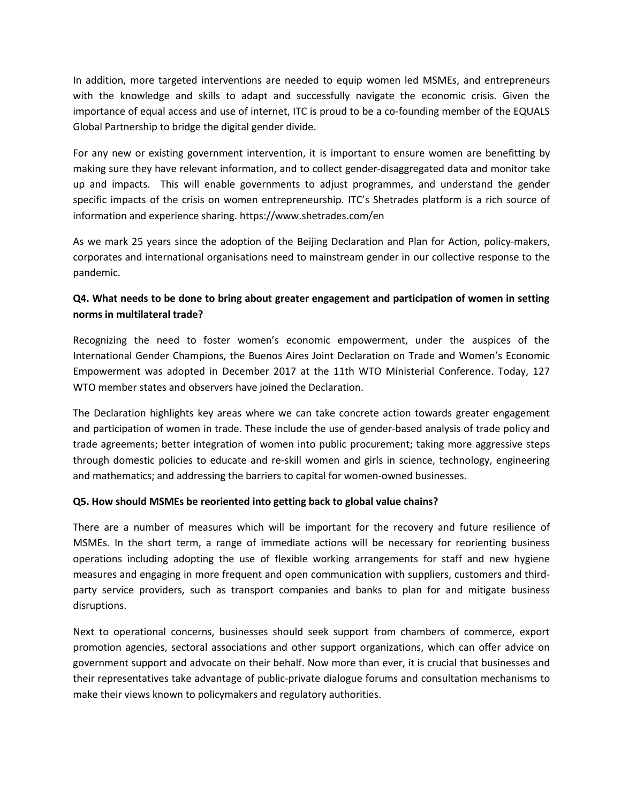In addition, more targeted interventions are needed to equip women led MSMEs, and entrepreneurs with the knowledge and skills to adapt and successfully navigate the economic crisis. Given the importance of equal access and use of internet, ITC is proud to be a co-founding member of the EQUALS Global Partnership to bridge the digital gender divide.

For any new or existing government intervention, it is important to ensure women are benefitting by making sure they have relevant information, and to collect gender-disaggregated data and monitor take up and impacts. This will enable governments to adjust programmes, and understand the gender specific impacts of the crisis on women entrepreneurship. ITC's Shetrades platform is a rich source of information and experience sharing. https://www.shetrades.com/en

As we mark 25 years since the adoption of the Beijing Declaration and Plan for Action, policy-makers, corporates and international organisations need to mainstream gender in our collective response to the pandemic.

# **Q4. What needs to be done to bring about greater engagement and participation of women in setting norms in multilateral trade?**

Recognizing the need to foster women's economic empowerment, under the auspices of the International Gender Champions, the Buenos Aires Joint Declaration on Trade and Women's Economic Empowerment was adopted in December 2017 at the 11th WTO Ministerial Conference. Today, 127 WTO member states and observers have joined the Declaration.

The Declaration highlights key areas where we can take concrete action towards greater engagement and participation of women in trade. These include the use of gender-based analysis of trade policy and trade agreements; better integration of women into public procurement; taking more aggressive steps through domestic policies to educate and re-skill women and girls in science, technology, engineering and mathematics; and addressing the barriers to capital for women-owned businesses.

#### **Q5. How should MSMEs be reoriented into getting back to global value chains?**

There are a number of measures which will be important for the recovery and future resilience of MSMEs. In the short term, a range of immediate actions will be necessary for reorienting business operations including adopting the use of flexible working arrangements for staff and new hygiene measures and engaging in more frequent and open communication with suppliers, customers and third party service providers, such as transport companies and banks to plan for and mitigate business disruptions.

Next to operational concerns, businesses should seek support from chambers of commerce, export promotion agencies, sectoral associations and other support organizations, which can offer advice on government support and advocate on their behalf. Now more than ever, it is crucial that businesses and their representatives take advantage of public-private dialogue forums and consultation mechanisms to make their views known to policymakers and regulatory authorities.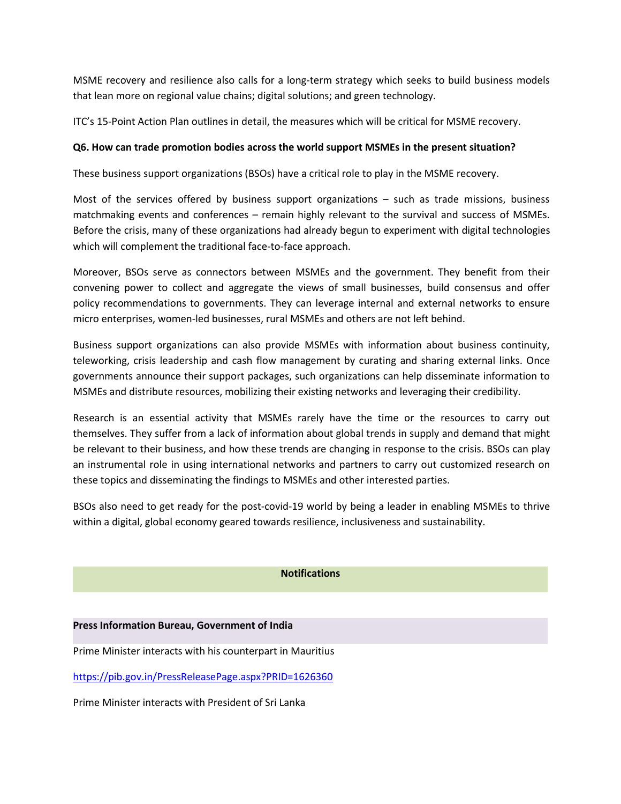MSME recovery and resilience also calls for a long-term strategy which seeks to build business models that lean more on regional value chains; digital solutions; and green technology.

ITC's 15-Point Action Plan outlines in detail, the measures which will be critical for MSME recovery.

## **Q6. How can trade promotion bodies across the world support MSMEs in the present situation?**

These business support organizations (BSOs) have a critical role to play in the MSME recovery.

Most of the services offered by business support organizations  $-$  such as trade missions, business matchmaking events and conferences – remain highly relevant to the survival and success of MSMEs. Before the crisis, many of these organizations had already begun to experiment with digital technologies which will complement the traditional face-to-face approach.

Moreover, BSOs serve as connectors between MSMEs and the government. They benefit from their convening power to collect and aggregate the views of small businesses, build consensus and offer policy recommendations to governments. They can leverage internal and external networks to ensure micro enterprises, women-led businesses, rural MSMEs and others are not left behind.

Business support organizations can also provide MSMEs with information about business continuity, teleworking, crisis leadership and cash flow management by curating and sharing external links. Once governments announce their support packages, such organizations can help disseminate information to MSMEs and distribute resources, mobilizing their existing networks and leveraging their credibility.

Research is an essential activity that MSMEs rarely have the time or the resources to carry out themselves. They suffer from a lack of information about global trends in supply and demand that might be relevant to their business, and how these trends are changing in response to the crisis. BSOs can play an instrumental role in using international networks and partners to carry out customized research on these topics and disseminating the findings to MSMEs and other interested parties.

BSOs also need to get ready for the post-covid-19 world by being a leader in enabling MSMEs to thrive within a digital, global economy geared towards resilience, inclusiveness and sustainability.

#### **Notifications**

#### **Press Information Bureau, Government of India**

Prime Minister interacts with his counterpart in Mauritius

<https://pib.gov.in/PressReleasePage.aspx?PRID=1626360>

Prime Minister interacts with President of Sri Lanka